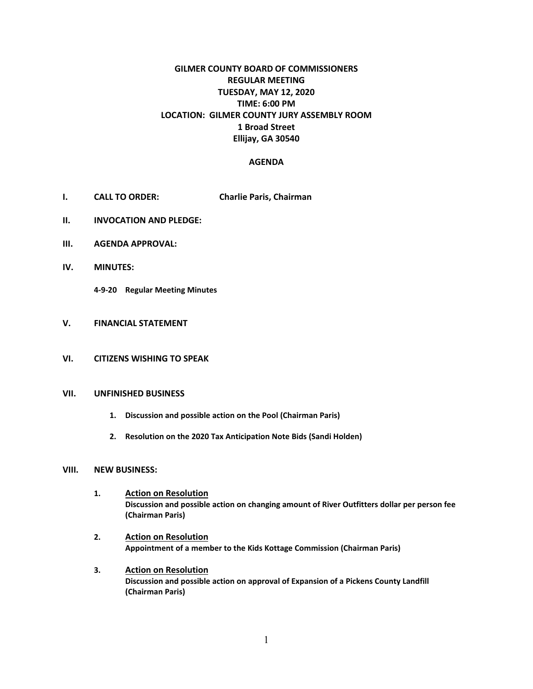# **GILMER COUNTY BOARD OF COMMISSIONERS REGULAR MEETING TUESDAY, MAY 12, 2020 TIME: 6:00 PM LOCATION: GILMER COUNTY JURY ASSEMBLY ROOM 1 Broad Street Ellijay, GA 30540**

### **AGENDA**

- **I. CALL TO ORDER: Charlie Paris, Chairman**
- **II. INVOCATION AND PLEDGE:**
- **III. AGENDA APPROVAL:**
- **IV. MINUTES:**

**4-9-20 Regular Meeting Minutes**

- **V. FINANCIAL STATEMENT**
- **VI. CITIZENS WISHING TO SPEAK**

#### **VII. UNFINISHED BUSINESS**

- **1. Discussion and possible action on the Pool (Chairman Paris)**
- **2. Resolution on the 2020 Tax Anticipation Note Bids (Sandi Holden)**

#### **VIII. NEW BUSINESS:**

- **1. Action on Resolution Discussion and possible action on changing amount of River Outfitters dollar per person fee (Chairman Paris)**
- **2. Action on Resolution Appointment of a member to the Kids Kottage Commission (Chairman Paris)**
- **3. Action on Resolution Discussion and possible action on approval of Expansion of a Pickens County Landfill (Chairman Paris)**